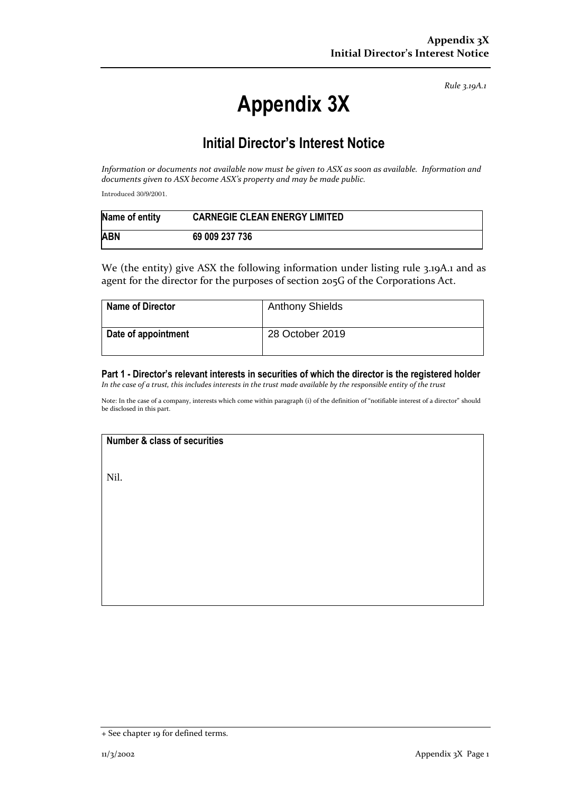*Rule 3.19A.1*

# **Appendix 3X**

## **Initial Director's Interest Notice**

*Information or documents not available now must be given to ASX as soon as available. Information and documents given to ASX become ASX's property and may be made public.*

Introduced 30/9/2001.

| Name of entity | <b>CARNEGIE CLEAN ENERGY LIMITED</b> |
|----------------|--------------------------------------|
| <b>ABN</b>     | 69 009 237 736                       |

We (the entity) give ASX the following information under listing rule 3.19A.1 and as agent for the director for the purposes of section 205G of the Corporations Act.

| Name of Director    | <b>Anthony Shields</b> |
|---------------------|------------------------|
| Date of appointment | 28 October 2019        |

**Part 1 - Director's relevant interests in securities of which the director is the registered holder** *In the case of a trust, this includes interests in the trust made available by the responsible entity of the trust*

Note: In the case of a company, interests which come within paragraph (i) of the definition of "notifiable interest of a director" should be disclosed in this part.

#### **Number & class of securities**

Nil.

<sup>+</sup> See chapter 19 for defined terms.